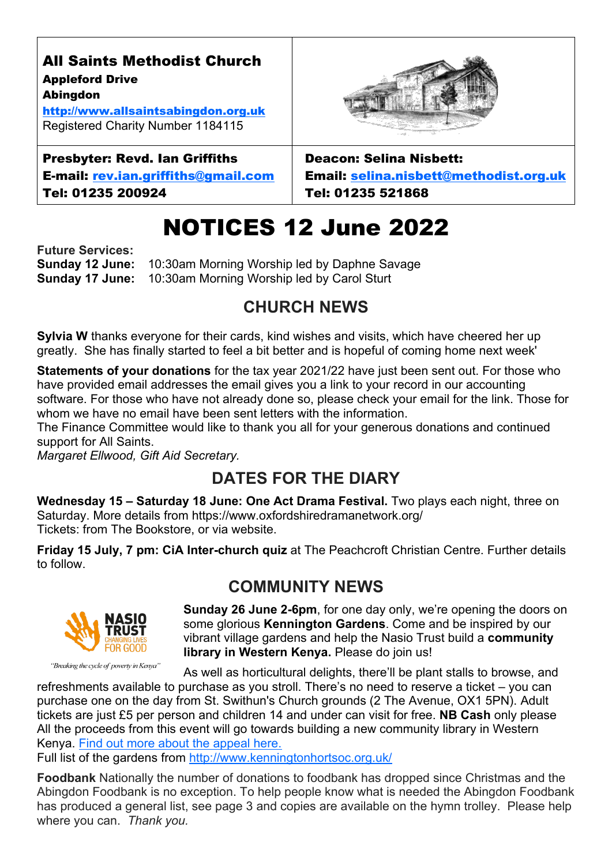# NOTICES 12 June 2022

**Future Services: Sunday 12 June:** 10:30am Morning Worship led by Daphne Savage **Sunday 17 June:** 10:30am Morning Worship led by Carol Sturt

### **CHURCH NEWS**

**Sylvia W** thanks everyone for their cards, kind wishes and visits, which have cheered her up greatly. She has finally started to feel a bit better and is hopeful of coming home next week'

**Statements of your donations** for the tax year 2021/22 have just been sent out. For those who have provided email addresses the email gives you a link to your record in our accounting software. For those who have not already done so, please check your email for the link. Those for whom we have no email have been sent letters with the information.

The Finance Committee would like to thank you all for your generous donations and continued support for All Saints.

*Margaret Ellwood, Gift Aid Secretary.*

#### **DATES FOR THE DIARY**

**Wednesday 15 – Saturday 18 June: One Act Drama Festival.** Two plays each night, three on Saturday. More details from https://www.oxfordshiredramanetwork.org/ Tickets: from The Bookstore, or via website.

**Friday 15 July, 7 pm: CiA Inter-church quiz** at The Peachcroft Christian Centre. Further details to follow.

#### **COMMUNITY NEWS**



"Breaking the cycle of poverty in Kenya"

**Sunday 26 June 2-6pm**, for one day only, we're opening the doors on some glorious **Kennington Gardens**. Come and be inspired by our vibrant village gardens and help the Nasio Trust build a **community library in Western Kenya.** Please do join us!

As well as horticultural delights, there'll be plant stalls to browse, and

refreshments available to purchase as you stroll. There's no need to reserve a ticket – you can purchase one on the day from St. Swithun's Church grounds (2 The Avenue, OX1 5PN). Adult tickets are just £5 per person and children 14 and under can visit for free. **NB Cash** only please All the proceeds from this event will go towards building a new community library in Western Kenya. [Find out more about the appeal here.](https://www.thenasiotrust.org/appeals/help-us-to-build-the-first-nasio-library/) 

Full list of the gardens from<http://www.kenningtonhortsoc.org.uk/>

**Foodbank** Nationally the number of donations to foodbank has dropped since Christmas and the Abingdon Foodbank is no exception. To help people know what is needed the Abingdon Foodbank has produced a general list, see page 3 and copies are available on the hymn trolley. Please help where you can. *Thank you.*